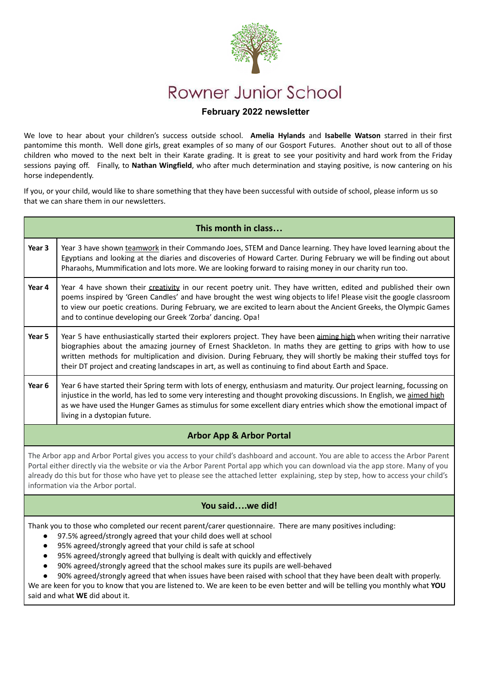

## **February 2022 newsletter**

We love to hear about your children's success outside school. **Amelia Hylands** and **Isabelle Watson** starred in their first pantomime this month. Well done girls, great examples of so many of our Gosport Futures. Another shout out to all of those children who moved to the next belt in their Karate grading. It is great to see your positivity and hard work from the Friday sessions paying off. Finally, to **Nathan Wingfield**, who after much determination and staying positive, is now cantering on his horse independently.

If you, or your child, would like to share something that they have been successful with outside of school, please inform us so that we can share them in our newsletters.

| This month in class                                                                                                                                                                                                                                                                                                                                                                                                                                                                                                                                                                                                                                                                                                        |                                                                                                                                                                                                                                                                                                                                                                                                                                                                          |  |  |  |  |  |
|----------------------------------------------------------------------------------------------------------------------------------------------------------------------------------------------------------------------------------------------------------------------------------------------------------------------------------------------------------------------------------------------------------------------------------------------------------------------------------------------------------------------------------------------------------------------------------------------------------------------------------------------------------------------------------------------------------------------------|--------------------------------------------------------------------------------------------------------------------------------------------------------------------------------------------------------------------------------------------------------------------------------------------------------------------------------------------------------------------------------------------------------------------------------------------------------------------------|--|--|--|--|--|
| Year 3                                                                                                                                                                                                                                                                                                                                                                                                                                                                                                                                                                                                                                                                                                                     | Year 3 have shown teamwork in their Commando Joes, STEM and Dance learning. They have loved learning about the<br>Egyptians and looking at the diaries and discoveries of Howard Carter. During February we will be finding out about<br>Pharaohs, Mummification and lots more. We are looking forward to raising money in our charity run too.                                                                                                                          |  |  |  |  |  |
| Year 4                                                                                                                                                                                                                                                                                                                                                                                                                                                                                                                                                                                                                                                                                                                     | Year 4 have shown their creativity in our recent poetry unit. They have written, edited and published their own<br>poems inspired by 'Green Candles' and have brought the west wing objects to life! Please visit the google classroom<br>to view our poetic creations. During February, we are excited to learn about the Ancient Greeks, the Olympic Games<br>and to continue developing our Greek 'Zorba' dancing. Opa!                                               |  |  |  |  |  |
| Year 5                                                                                                                                                                                                                                                                                                                                                                                                                                                                                                                                                                                                                                                                                                                     | Year 5 have enthusiastically started their explorers project. They have been aiming high when writing their narrative<br>biographies about the amazing journey of Ernest Shackleton. In maths they are getting to grips with how to use<br>written methods for multiplication and division. During February, they will shortly be making their stuffed toys for<br>their DT project and creating landscapes in art, as well as continuing to find about Earth and Space. |  |  |  |  |  |
| Year 6                                                                                                                                                                                                                                                                                                                                                                                                                                                                                                                                                                                                                                                                                                                     | Year 6 have started their Spring term with lots of energy, enthusiasm and maturity. Our project learning, focussing on<br>injustice in the world, has led to some very interesting and thought provoking discussions. In English, we aimed high<br>as we have used the Hunger Games as stimulus for some excellent diary entries which show the emotional impact of<br>living in a dystopian future.                                                                     |  |  |  |  |  |
| <b>Arbor App &amp; Arbor Portal</b>                                                                                                                                                                                                                                                                                                                                                                                                                                                                                                                                                                                                                                                                                        |                                                                                                                                                                                                                                                                                                                                                                                                                                                                          |  |  |  |  |  |
| The Arbor app and Arbor Portal gives you access to your child's dashboard and account. You are able to access the Arbor Parent<br>Portal either directly via the website or via the Arbor Parent Portal app which you can download via the app store. Many of you<br>already do this but for those who have yet to please see the attached letter explaining, step by step, how to access your child's<br>information via the Arbor portal.                                                                                                                                                                                                                                                                                |                                                                                                                                                                                                                                                                                                                                                                                                                                                                          |  |  |  |  |  |
| You saidwe did!                                                                                                                                                                                                                                                                                                                                                                                                                                                                                                                                                                                                                                                                                                            |                                                                                                                                                                                                                                                                                                                                                                                                                                                                          |  |  |  |  |  |
| Thank you to those who completed our recent parent/carer questionnaire. There are many positives including:<br>97.5% agreed/strongly agreed that your child does well at school<br>$\bullet$<br>95% agreed/strongly agreed that your child is safe at school<br>95% agreed/strongly agreed that bullying is dealt with quickly and effectively<br>90% agreed/strongly agreed that the school makes sure its pupils are well-behaved<br>90% agreed/strongly agreed that when issues have been raised with school that they have been dealt with properly.<br>We are keen for you to know that you are listened to. We are keen to be even better and will be telling you monthly what YOU<br>said and what WE did about it. |                                                                                                                                                                                                                                                                                                                                                                                                                                                                          |  |  |  |  |  |